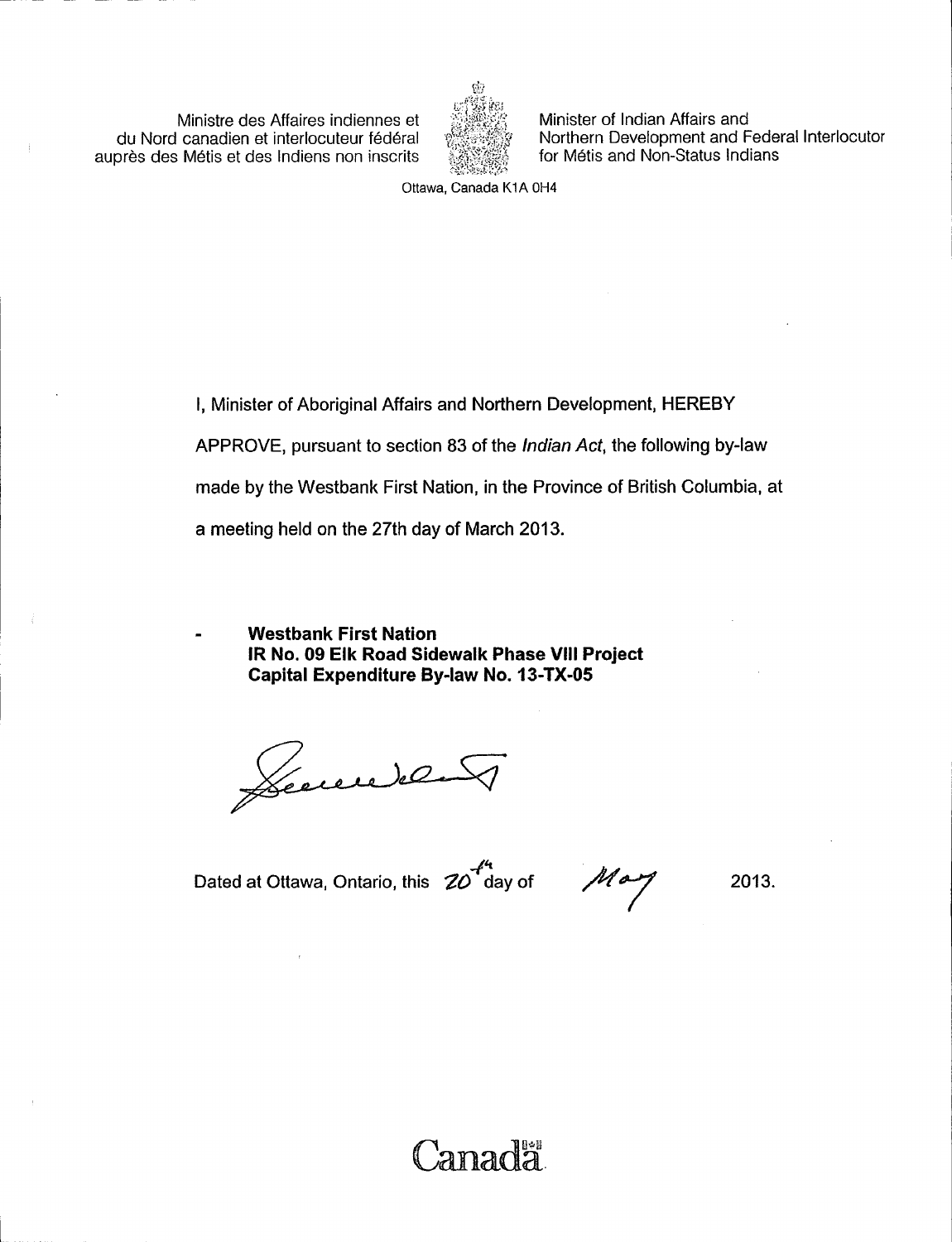Ministre des Affaires indiennes et du Nord canadien et interlocuteur federal aupres des Metis et des Indiens non inscrits



Minister of Indian Affairs and Northern Development and Federal Interlocutor for Métis and Non-Status Indians

Ottawa, Canada K1A OH4

I, Minister of Aboriginal Affairs and Northern Development, HEREBY APPROVE, pursuant to section 83 of the Indian Act, the following by-law made by the Westbank First Nation, in the Province of British Columbia, at a meeting held on the 27th day of March 2013.

Canadä

Westbank First Nation IR No. 09 Elk Road Sidewalk Phase VIII Project Capital Expenditure By -law No. 13 -TX -05

Leccendel

Dated at Ottawa, Ontario, this  $ZO<sup>T</sup>$ day of

May

2013.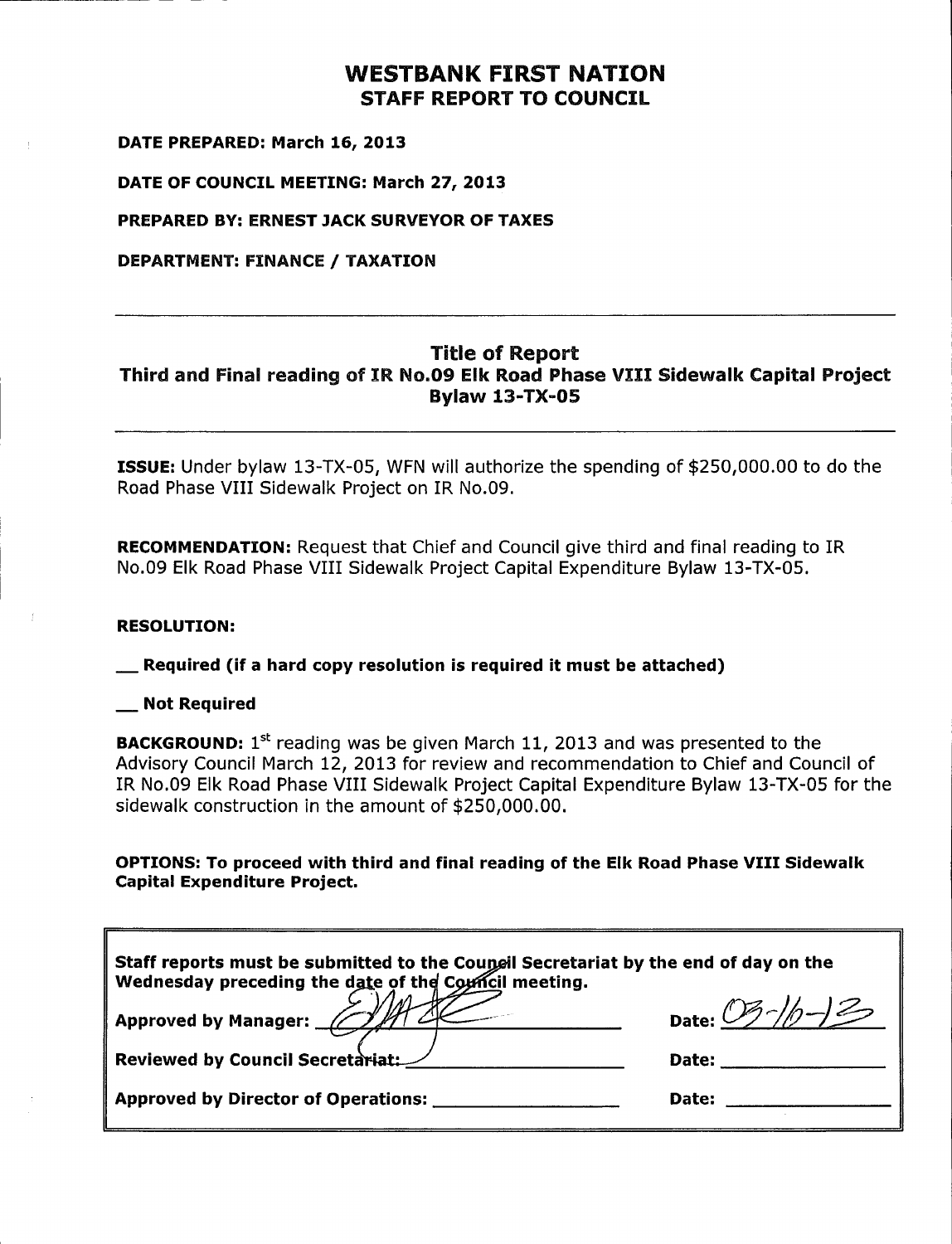## WESTBANK FIRST NATION STAFF REPORT TO COUNCIL

DATE PREPARED: March 16, 2013

DATE OF COUNCIL MEETING: March 27, 2013

PREPARED BY: ERNEST JACK SURVEYOR OF TAXES

DEPARTMENT: FINANCE / TAXATION

## Title of Report Third and Final reading of IR No.09 EIk Road Phase VIII Sidewalk Capital Project **Bylaw 13-TX-05**

**ISSUE:** Under bylaw 13-TX-05, WFN will authorize the spending of \$250,000.00 to do the Road Phase VIII Sidewalk Project on IR No. 09.

RECOMMENDATION: Request that Chief and Council give third and final reading to IR No.09 Elk Road Phase VIII Sidewalk Project Capital Expenditure Bylaw 13-TX-05.

#### RESOLUTION:

Required ( if <sup>a</sup> hard copy resolution is required it must be attached)

#### Not Required

**BACKGROUND:**  $1^{st}$  reading was be given March 11, 2013 and was presented to the Advisory Council March 12, 2013 for review and recommendation to Chief and Council of IR No. 09 EIk Road Phase VIII Sidewalk Project Capital Expenditure Bylaw 13 -TX -05 for the sidewalk construction in the amount of \$250, 000. 00.

OPTIONS: To proceed with third and final reading of the EIk Road Phase VIII Sidewalk Capital Expenditure Project.

| Staff reports must be submitted to the Council Secretariat by the end of day on the<br>Wednesday preceding the date of the Council meeting.<br>Approved by Manager: 2009<br>Reviewed by Council Secretariat:<br>Date: Date: | Date: 03-1/0-13 |  |
|-----------------------------------------------------------------------------------------------------------------------------------------------------------------------------------------------------------------------------|-----------------|--|
|                                                                                                                                                                                                                             |                 |  |
| Approved by Director of Operations:                                                                                                                                                                                         | Date:           |  |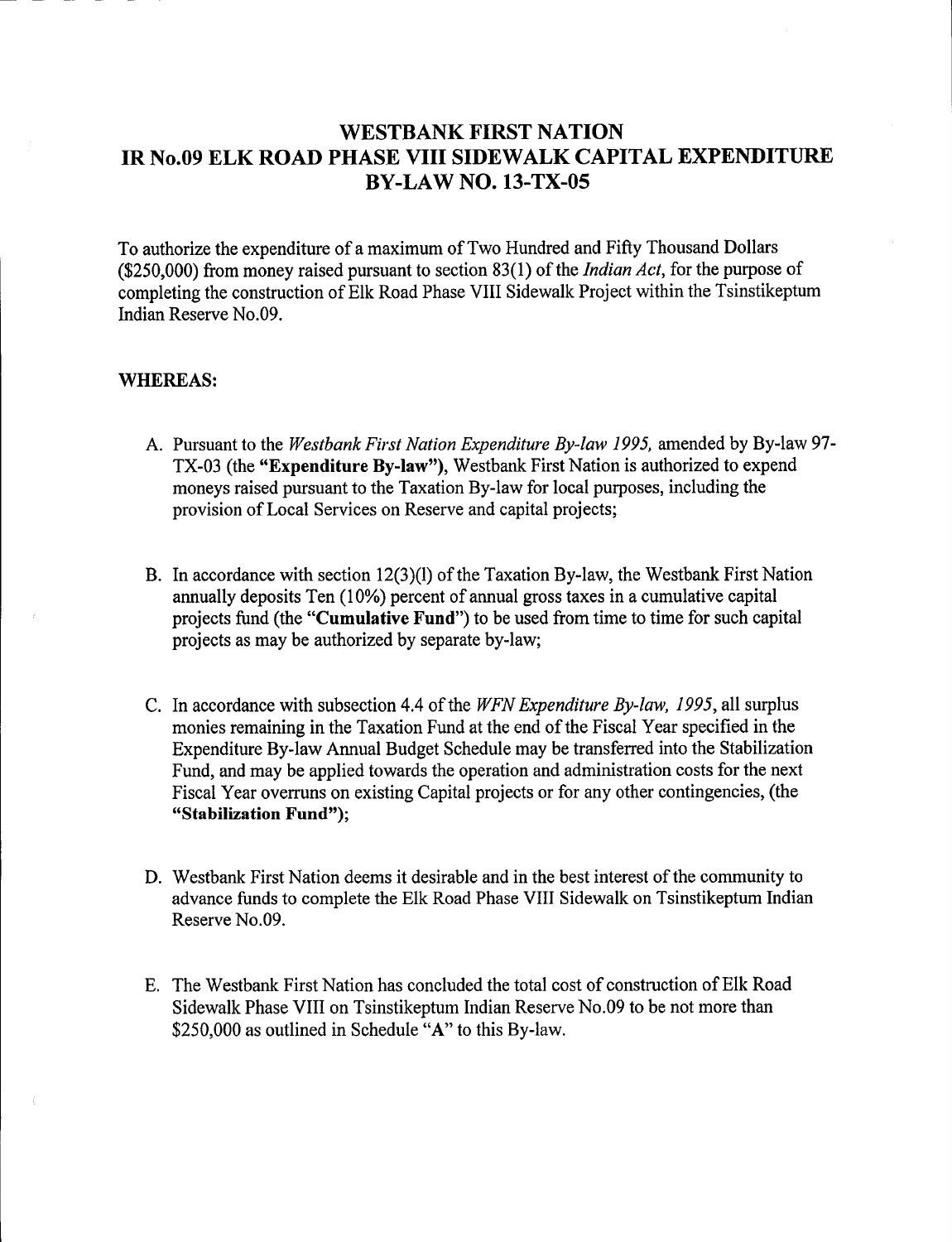## WESTBANK FIRST NATION IR No.09 ELK ROAD PHASE VIII SIDEWALK CAPITAL EXPENDITURE BY -LAW NO. 13 -TX -05

To authorize the expenditure of <sup>a</sup> maximum of Two Hundred and Fifty Thousand Dollars (\$250,000) from money raised pursuant to section 83(1) of the *Indian Act*, for the purpose of completing the construction of Elk Road Phase VIII Sidewalk Project within the Tsinstikeptum Indian Reserve No.09.

#### WHEREAS:

- A. Pursuant to the Westbank First Nation Expenditure By-law 1995, amended by By-law 97-TX-03 (the "Expenditure By-law"), Westbank First Nation is authorized to expend moneys raised pursuant to the Taxation By -law for local purposes, including the provision of Local Services on Reserve and capital projects;
- B. In accordance with section 12(3)(1) of the Taxation By-law, the Westbank First Nation annually deposits Ten  $(10\%)$  percent of annual gross taxes in a cumulative capital projects fund (the "Cumulative Fund") to be used from time to time for such capital projects as may be authorized by separate by -law;
- C. In accordance with subsection 4.4 of the WFN Expenditure By-law, 1995, all surplus monies remaining in the Taxation Fund at the end of the Fiscal Year specified in the Expenditure By -law Annual Budget Schedule may be transferred into the Stabilization Fund, and may be applied towards the operation and administration costs for the next Fiscal Year overruns on existing Capital projects or for any other contingencies, (the "Stabilization Fund");
- D. Westbank First Nation deems it desirable and in the best interest of the community to advance funds to complete the Elk Road Phase VIII Sidewalk on Tsinstikeptum Indian Reserve No.09.
- E. The Westbank First Nation has concluded the total cost of construction of Elk Road Sidewalk Phase VIII on Tsinstikeptum Indian Reserve No.09 to be not more than \$250,000 as outlined in Schedule "A" to this By-law.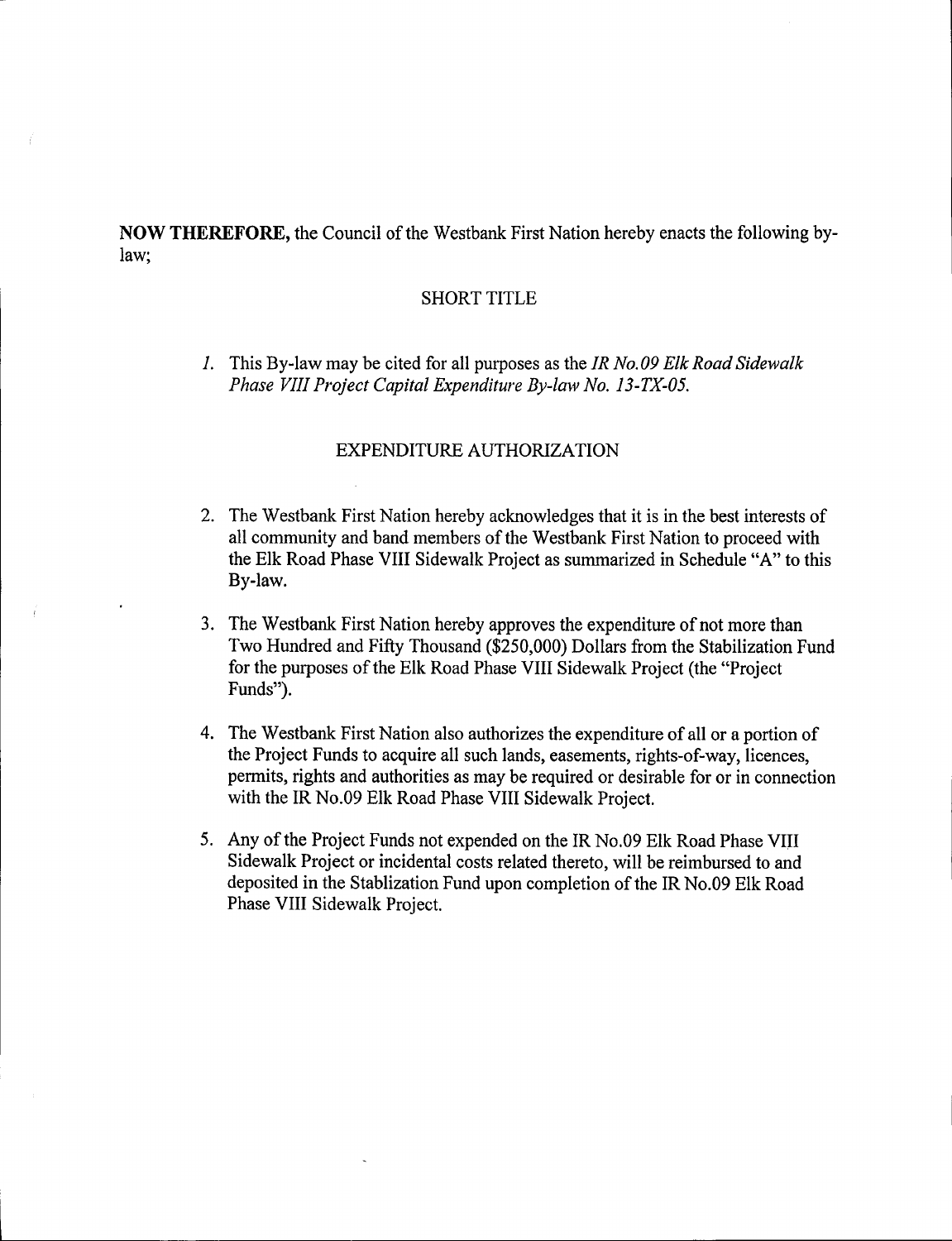NOW THEREFORE, the Council of the Westbank First Nation hereby enacts the following bylaw;

#### SHORT TITLE

1. This By-law may be cited for all purposes as the IR No.09 Elk Road Sidewalk Phase VIII Project Capital Expenditure By-law No. 13-TX-05.

#### EXPENDITURE AUTHORIZATION

- 2. The Westbank First Nation hereby acknowledges that it is in the best interests of all community and band members of the Westbank First Nation to proceed with the Elk Road Phase VIII Sidewalk Project as summarized in Schedule " A" to this By-law.
- 3. The Westbank First Nation hereby approves the expenditure of not more than Two Hundred and Fifty Thousand (\$250,000) Dollars from the Stabilization Fund for the purposes of the Elk Road Phase VIII Sidewalk Project (the "Project" Funds").
- 4. The Westbank First Nation also authorizes the expenditure of all or <sup>a</sup> portion of the Project Funds to acquire all such lands, easements, rights-of-way, licences, permits, rights and authorities as may be required or desirable for or in connection with the IR No.09 Elk Road Phase VIII Sidewalk Project.
- 5. Any of the Project Funds not expended on the IR No.09 Elk Road Phase VIII Sidewalk Project or incidental costs related thereto, will be reimbursed to and deposited in the Stablization Fund upon completion of the IR No.09 Elk Road Phase VIII Sidewalk Project.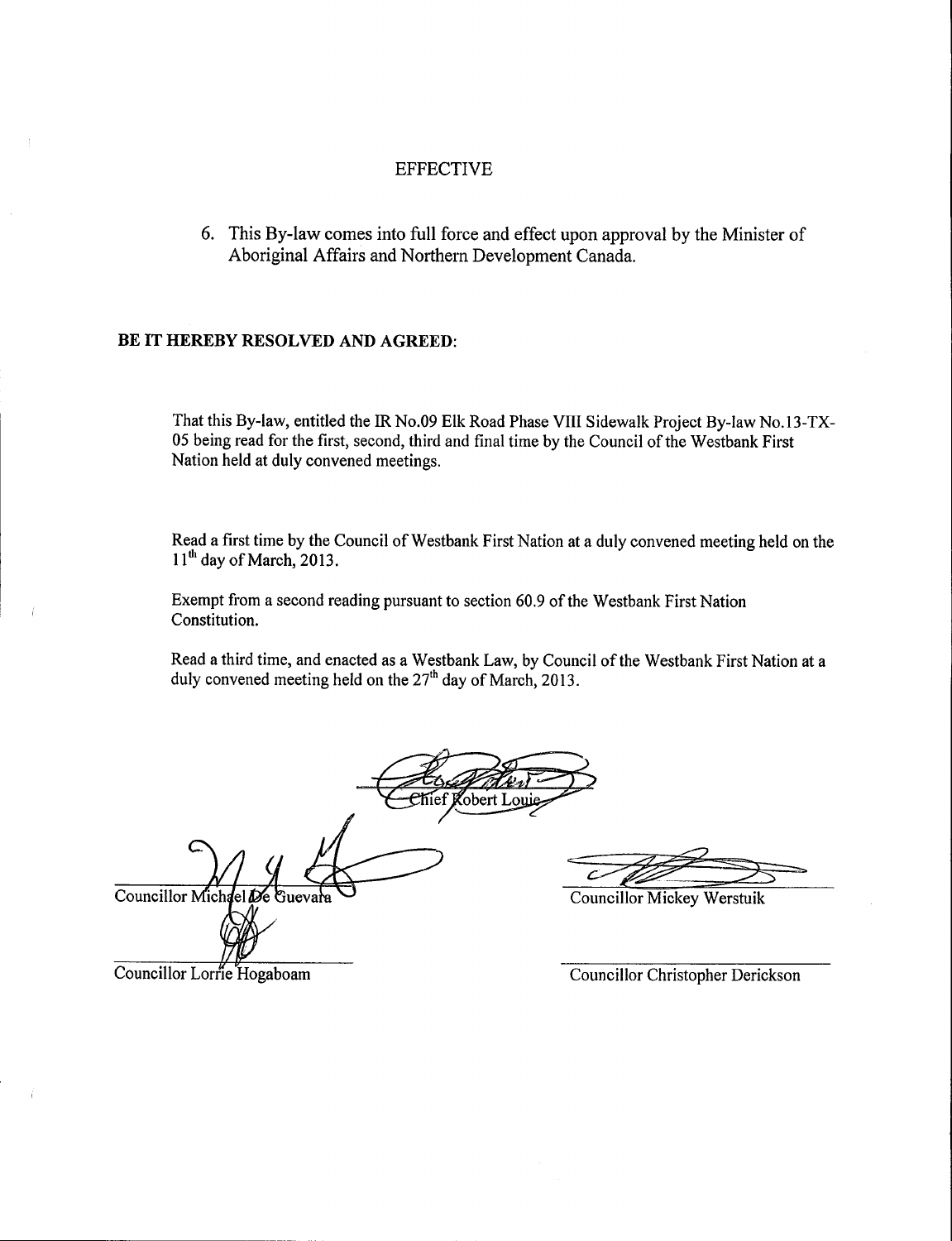#### EFFECTIVE

6. This By -law comes into full force and effect upon approval by the Minister of Aboriginal Affairs and Northern Development Canada.

#### BE IT HEREBY RESOLVED AND AGREED:

That this By -law, entitled the IR No.09 Elk Road Phase VIII Sidewalk Project By -law No. 13 -TX-05 being read for the first, second, third and final time by the Council of the Westbank First Nation held at duly convened meetings.

Read a first time by the Council of Westbank First Nation at a duly convened meeting held on the  $11<sup>th</sup>$  day of March, 2013.

Exempt from <sup>a</sup> second reading pursuant to section 60.9 of the Westbank First Nation Constitution.

Read a third time, and enacted as a Westbank Law, by Council of the Westbank First Nation at a duly convened meeting held on the  $27<sup>th</sup>$  day of March, 2013.

**Robert Louis** 

I/ Councillor Michael

 $\chi$ ndel De C

Councillor Mickey Werstuik

Councillor Lorrie Hogaboam

Councillor Christopher Derickson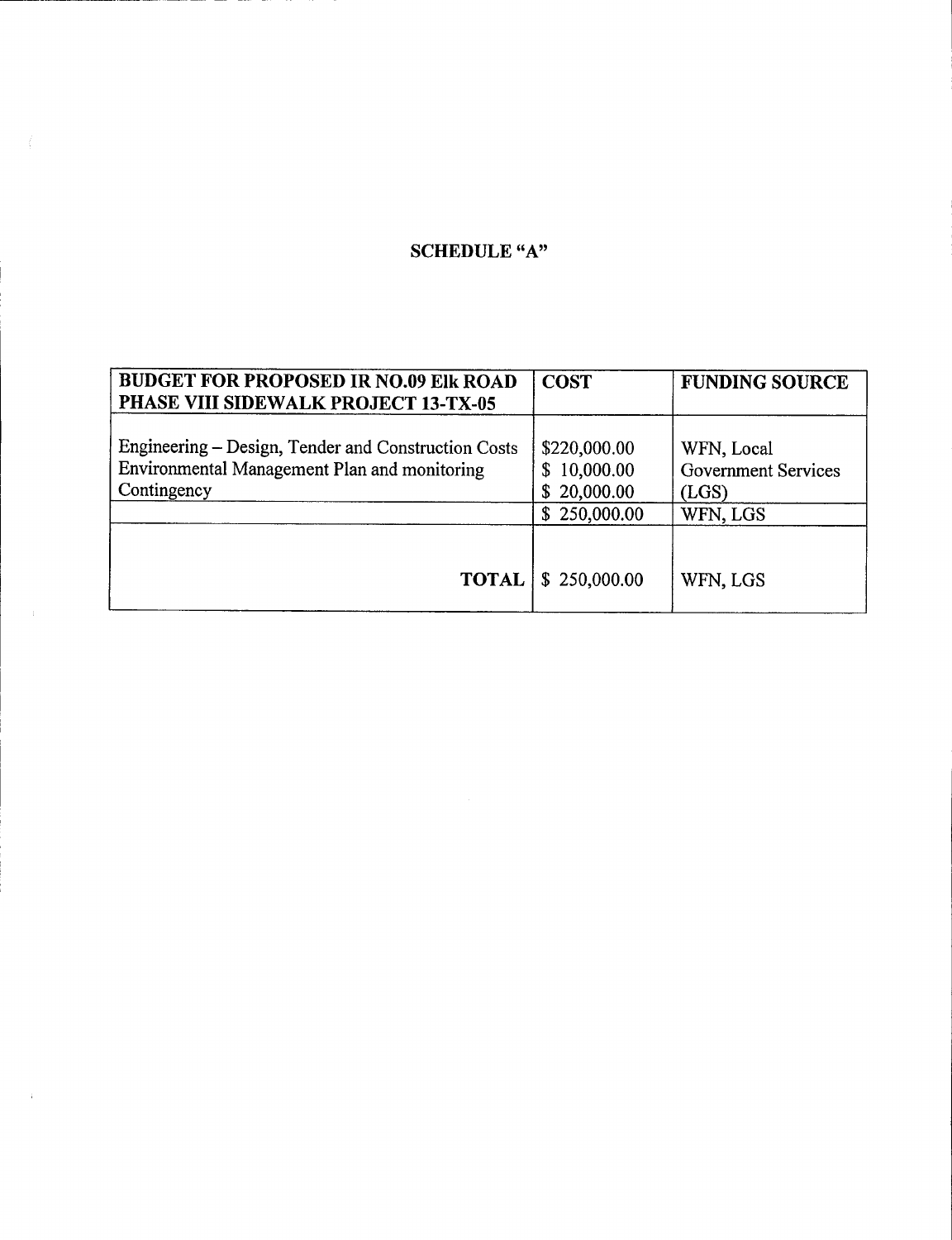# SCHEDULE "A"

| <b>BUDGET FOR PROPOSED IR NO.09 EIK ROAD</b><br>PHASE VIII SIDEWALK PROJECT 13-TX-05                               | <b>COST</b>                                                | <b>FUNDING SOURCE</b>                                         |
|--------------------------------------------------------------------------------------------------------------------|------------------------------------------------------------|---------------------------------------------------------------|
| Engineering – Design, Tender and Construction Costs<br>Environmental Management Plan and monitoring<br>Contingency | \$220,000.00<br>\$10,000.00<br>\$20,000.00<br>\$250,000.00 | WFN, Local<br><b>Government Services</b><br>(LGS)<br>WFN, LGS |
| <b>TOTAL</b>                                                                                                       | \$250,000.00                                               | WFN, LGS                                                      |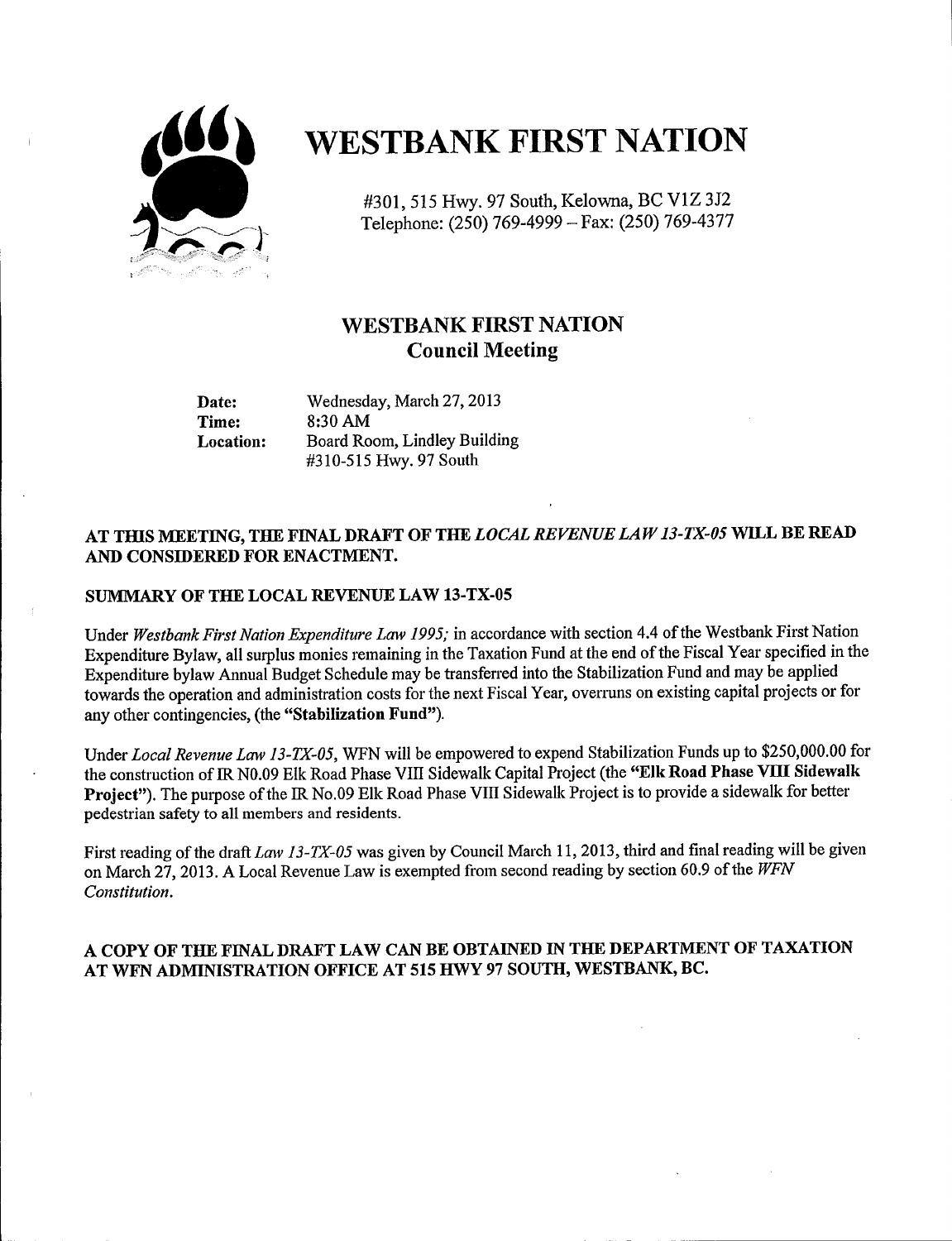

# **WESTBANK FIRST NATION**

301, 515 Hwy. 97 South, Kelowna, BC V1Z 3J2 Telephone: ( 250) 769 -4999 — Fax: (250) 769 -4377

## WESTBANK FIRST NATION Council Meeting

Date: Wednesday, March 27, 2013<br>Time: 8:30 AM 8:30 AM Location: Board Room, Lindley Building 310 -515 Hwy. 97 South

## AT THIS MEETING, THE FINAL DRAFT OF THE LOCAL REVENUE LAW 13-TX-05 WILL BE READ AND CONSIDERED FOR ENACTMENT.

#### SUMMARY OF THE LOCAL REVENUE LAW 13-TX-05

Under Westbank First Nation Expenditure Law 1995; in accordance with section 4.4 of the Westbank First Nation Expenditure Bylaw, all surplus monies remaining in the Taxation Fund at the end of the Fiscal Year specified in the Expenditure bylaw Annual Budget Schedule may be transferred into the Stabilization Fund and may be applied towards the operation and administration costs for the next Fiscal Year, overruns on existing capital projects or for any other contingencies, (the "Stabilization Fund").

Under Local Revenue Law 13-TX-05, WFN will be empowered to expend Stabilization Funds up to \$250,000.00 for the construction of IR N0.09 Elk Road Phase VIII Sidewalk Capital Project (the "Elk Road Phase VIII Sidewalk Project"). The purpose of the IR No.09 Elk Road Phase VIII Sidewalk Project is to provide a sidewalk for better pedestrian safety to all members and residents.

First reading of the draft Law 13-TX-05 was given by Council March 11, 2013, third and final reading will be given on March 27, 2013. A Local Revenue Law is exempted from second reading by section 60.9 of the  $WFN$ Constitution.

#### A COPY OF THE FINAL DRAFT LAW CAN BE OBTAINED IN THE DEPARTMENT OF TAXATION AT WFN ADMINISTRATION OFFICE AT 515 HWY 97 SOUTH, WESTBANK, BC.